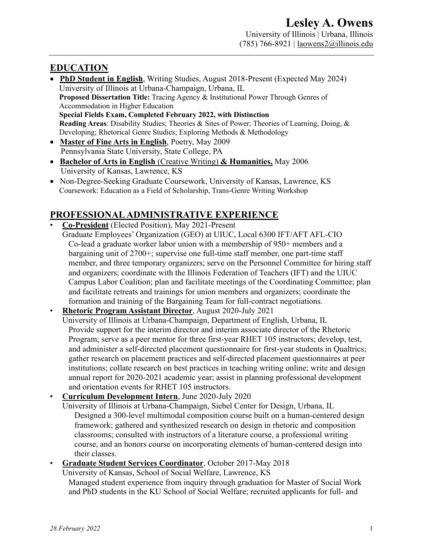## **EDUCATION**

- **PhD Student in English**, Writing Studies, August 2018-Present (Expected May 2024) University of Illinois at Urbana-Champaign, Urbana, IL **Proposed Dissertation Title:** Tracing Agency & Institutional Power Through Genres of Accommodation in Higher Education **Special Fields Exam, Completed February 2022, with Distinction Reading Areas**: Disability Studies; Theories & Sites of Power; Theories of Learning, Doing, & Developing; Rhetorical Genre Studies; Exploring Methods & Methodology
- **Master of Fine Arts in English**, Poetry, May 2009 Pennsylvania State University, State College, PA
- **Bachelor of Arts in English** (Creative Writing) **& Humanities,** May 2006 University of Kansas, Lawrence, KS
- Non-Degree-Seeking Graduate Coursework, University of Kansas, Lawrence, KS Coursework: Education as a Field of Scholarship, Trans-Genre Writing Workshop

# **PROFESSIONAL ADMINISTRATIVE EXPERIENCE**

- **Co-President** (Elected Position), May 2021-Present
	- Graduate Employees' Organization (GEO) at UIUC, Local 6300 IFT/AFT AFL-CIO Co-lead a graduate worker labor union with a membership of 950+ members and a bargaining unit of 2700+; supervise one full-time staff member, one part-time staff member, and three temporary organizers; serve on the Personnel Committee for hiring staff and organizers; coordinate with the Illinois Federation of Teachers (IFT) and the UIUC Campus Labor Coalition; plan and facilitate meetings of the Coordinating Committee; plan and facilitate retreats and trainings for union members and organizers; coordinate the formation and training of the Bargaining Team for full-contract negotiations.
- **Rhetoric Program Assistant Director**, August 2020-July 2021

University of Illinois at Urbana-Champaign, Department of English, Urbana, IL Provide support for the interim director and interim associate director of the Rhetoric Program; serve as a peer mentor for three first-year RHET 105 instructors; develop, test, and administer a self-directed placement questionnaire for first-year students in Qualtrics; gather research on placement practices and self-directed placement questionnaires at peer institutions; collate research on best practices in teaching writing online; write and design annual report for 2020-2021 academic year; assist in planning professional development and orientation events for RHET 105 instructors.

• **Curriculum Development Intern**, June 2020-July 2020

University of Illinois at Urbana-Champaign, Siebel Center for Design, Urbana, IL Designed a 300-level multimodal composition course built on a human-centered design framework; gathered and synthesized research on design in rhetoric and composition classrooms; consulted with instructors of a literature course, a professional writing course, and an honors course on incorporating elements of human-centered design into their classes.

• **Graduate Student Services Coordinator**, October 2017-May 2018

University of Kansas, School of Social Welfare, Lawrence, KS

Managed student experience from inquiry through graduation for Master of Social Work and PhD students in the KU School of Social Welfare; recruited applicants for full- and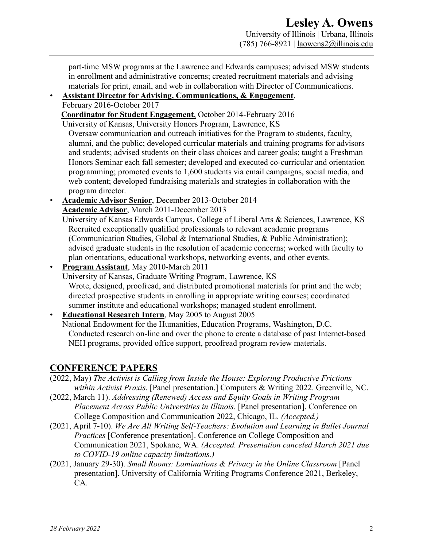part-time MSW programs at the Lawrence and Edwards campuses; advised MSW students in enrollment and administrative concerns; created recruitment materials and advising materials for print, email, and web in collaboration with Director of Communications.

# • **Assistant Director for Advising, Communications, & Engagement**,

February 2016-October 2017

**Coordinator for Student Engagement**, October 2014-February 2016

University of Kansas, University Honors Program, Lawrence, KS

Oversaw communication and outreach initiatives for the Program to students, faculty, alumni, and the public; developed curricular materials and training programs for advisors and students; advised students on their class choices and career goals; taught a Freshman Honors Seminar each fall semester; developed and executed co-curricular and orientation programming; promoted events to 1,600 students via email campaigns, social media, and web content; developed fundraising materials and strategies in collaboration with the program director.

• **Academic Advisor Senior**, December 2013-October 2014 **Academic Advisor**, March 2011-December 2013

University of Kansas Edwards Campus, College of Liberal Arts & Sciences, Lawrence, KS Recruited exceptionally qualified professionals to relevant academic programs (Communication Studies, Global & International Studies, & Public Administration); advised graduate students in the resolution of academic concerns; worked with faculty to plan orientations, educational workshops, networking events, and other events.

• **Program Assistant**, May 2010-March 2011

University of Kansas, Graduate Writing Program, Lawrence, KS Wrote, designed, proofread, and distributed promotional materials for print and the web; directed prospective students in enrolling in appropriate writing courses; coordinated summer institute and educational workshops; managed student enrollment.

• **Educational Research Intern**, May 2005 to August 2005 National Endowment for the Humanities, Education Programs, Washington, D.C. Conducted research on-line and over the phone to create a database of past Internet-based NEH programs, provided office support, proofread program review materials.

## **CONFERENCE PAPERS**

- (2022, May) *The Activist is Calling from Inside the House: Exploring Productive Frictions within Activist Praxis*. [Panel presentation.] Computers & Writing 2022. Greenville, NC.
- (2022, March 11). *Addressing (Renewed) Access and Equity Goals in Writing Program Placement Across Public Universities in Illinois*. [Panel presentation]. Conference on College Composition and Communication 2022, Chicago, IL. *(Accepted.)*
- (2021, April 7-10). *We Are All Writing Self-Teachers: Evolution and Learning in Bullet Journal Practices* [Conference presentation]. Conference on College Composition and Communication 2021, Spokane, WA. *(Accepted. Presentation canceled March 2021 due to COVID-19 online capacity limitations.)*
- (2021, January 29-30). *Small Rooms: Laminations & Privacy in the Online Classroom* [Panel presentation]. University of California Writing Programs Conference 2021, Berkeley, CA.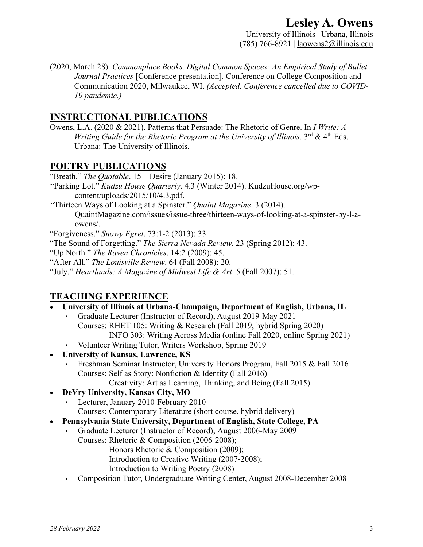(2020, March 28). *Commonplace Books, Digital Common Spaces: An Empirical Study of Bullet Journal Practices* [Conference presentation]*.* Conference on College Composition and Communication 2020, Milwaukee, WI. *(Accepted. Conference cancelled due to COVID-19 pandemic.)*

### **INSTRUCTIONAL PUBLICATIONS**

Owens, L.A. (2020 & 2021). Patterns that Persuade: The Rhetoric of Genre. In *I Write: A Writing Guide for the Rhetoric Program at the University of Illinois*. 3<sup>rd</sup> & 4<sup>th</sup> Eds. Urbana: The University of Illinois.

#### **POETRY PUBLICATIONS**

"Breath." *The Quotable*. 15—Desire (January 2015): 18.

"Parking Lot." *Kudzu House Quarterly*. 4.3 (Winter 2014). KudzuHouse.org/wpcontent/uploads/2015/10/4.3.pdf.

"Thirteen Ways of Looking at a Spinster." *Quaint Magazine*. 3 (2014). QuaintMagazine.com/issues/issue-three/thirteen-ways-of-looking-at-a-spinster-by-l-aowens/.

"Forgiveness." *Snowy Egret*. 73:1-2 (2013): 33.

- "The Sound of Forgetting." *The Sierra Nevada Review*. 23 (Spring 2012): 43.
- "Up North." *The Raven Chronicles*. 14:2 (2009): 45.
- "After All." *The Louisville Review*. 64 (Fall 2008): 20.
- "July." *Heartlands: A Magazine of Midwest Life & Art*. 5 (Fall 2007): 51.

## **TEACHING EXPERIENCE**

- **University of Illinois at Urbana-Champaign, Department of English, Urbana, IL**
	- Graduate Lecturer (Instructor of Record), August 2019-May 2021 Courses: RHET 105: Writing & Research (Fall 2019, hybrid Spring 2020) INFO 303: Writing Across Media (online Fall 2020, online Spring 2021)
	- Volunteer Writing Tutor, Writers Workshop, Spring 2019
- **University of Kansas, Lawrence, KS**
	- Freshman Seminar Instructor, University Honors Program, Fall 2015 & Fall 2016 Courses: Self as Story: Nonfiction & Identity (Fall 2016)

Creativity: Art as Learning, Thinking, and Being (Fall 2015)

- **DeVry University, Kansas City, MO**
	- Lecturer, January 2010-February 2010
		- Courses: Contemporary Literature (short course, hybrid delivery)
- **Pennsylvania State University, Department of English, State College, PA**
	- Graduate Lecturer (Instructor of Record), August 2006-May 2009 Courses: Rhetoric & Composition (2006-2008);
		- Honors Rhetoric & Composition (2009);
		- Introduction to Creative Writing (2007-2008);
		- Introduction to Writing Poetry (2008)
	- Composition Tutor, Undergraduate Writing Center, August 2008-December 2008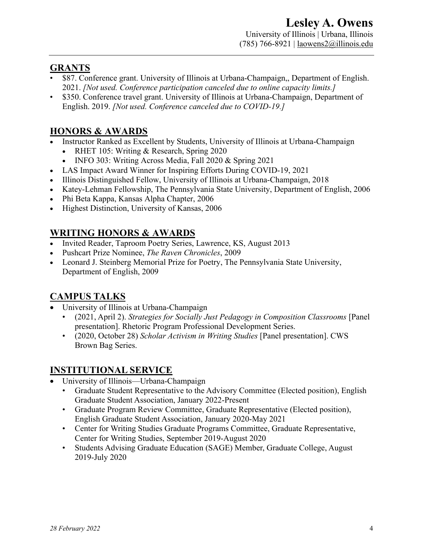#### **GRANTS**

- \$87. Conference grant. University of Illinois at Urbana-Champaign,, Department of English. 2021. *[Not used. Conference participation canceled due to online capacity limits.]*
- \$350. Conference travel grant. University of Illinois at Urbana-Champaign, Department of English. 2019. *[Not used. Conference canceled due to COVID-19.]*

# **HONORS & AWARDS**

- Instructor Ranked as Excellent by Students, University of Illinois at Urbana-Champaign
	- RHET 105: Writing & Research, Spring 2020
	- INFO 303: Writing Across Media, Fall 2020 & Spring 2021
- LAS Impact Award Winner for Inspiring Efforts During COVID-19, 2021
- Illinois Distinguished Fellow, University of Illinois at Urbana-Champaign, 2018
- Katey-Lehman Fellowship, The Pennsylvania State University, Department of English, 2006
- Phi Beta Kappa, Kansas Alpha Chapter, 2006
- Highest Distinction, University of Kansas, 2006

# **WRITING HONORS & AWARDS**

- Invited Reader, Taproom Poetry Series, Lawrence, KS, August 2013
- Pushcart Prize Nominee, *The Raven Chronicles*, 2009
- Leonard J. Steinberg Memorial Prize for Poetry, The Pennsylvania State University, Department of English, 2009

## **CAMPUS TALKS**

- University of Illinois at Urbana-Champaign
	- (2021, April 2). *Strategies for Socially Just Pedagogy in Composition Classrooms* [Panel presentation]. Rhetoric Program Professional Development Series.
	- (2020, October 28) *Scholar Activism in Writing Studies* [Panel presentation]. CWS Brown Bag Series.

#### **INSTITUTIONAL SERVICE**

- University of Illinois—Urbana-Champaign
	- Graduate Student Representative to the Advisory Committee (Elected position), English Graduate Student Association, January 2022-Present
	- Graduate Program Review Committee, Graduate Representative (Elected position), English Graduate Student Association, January 2020-May 2021
	- Center for Writing Studies Graduate Programs Committee, Graduate Representative, Center for Writing Studies, September 2019-August 2020
	- Students Advising Graduate Education (SAGE) Member, Graduate College, August 2019-July 2020